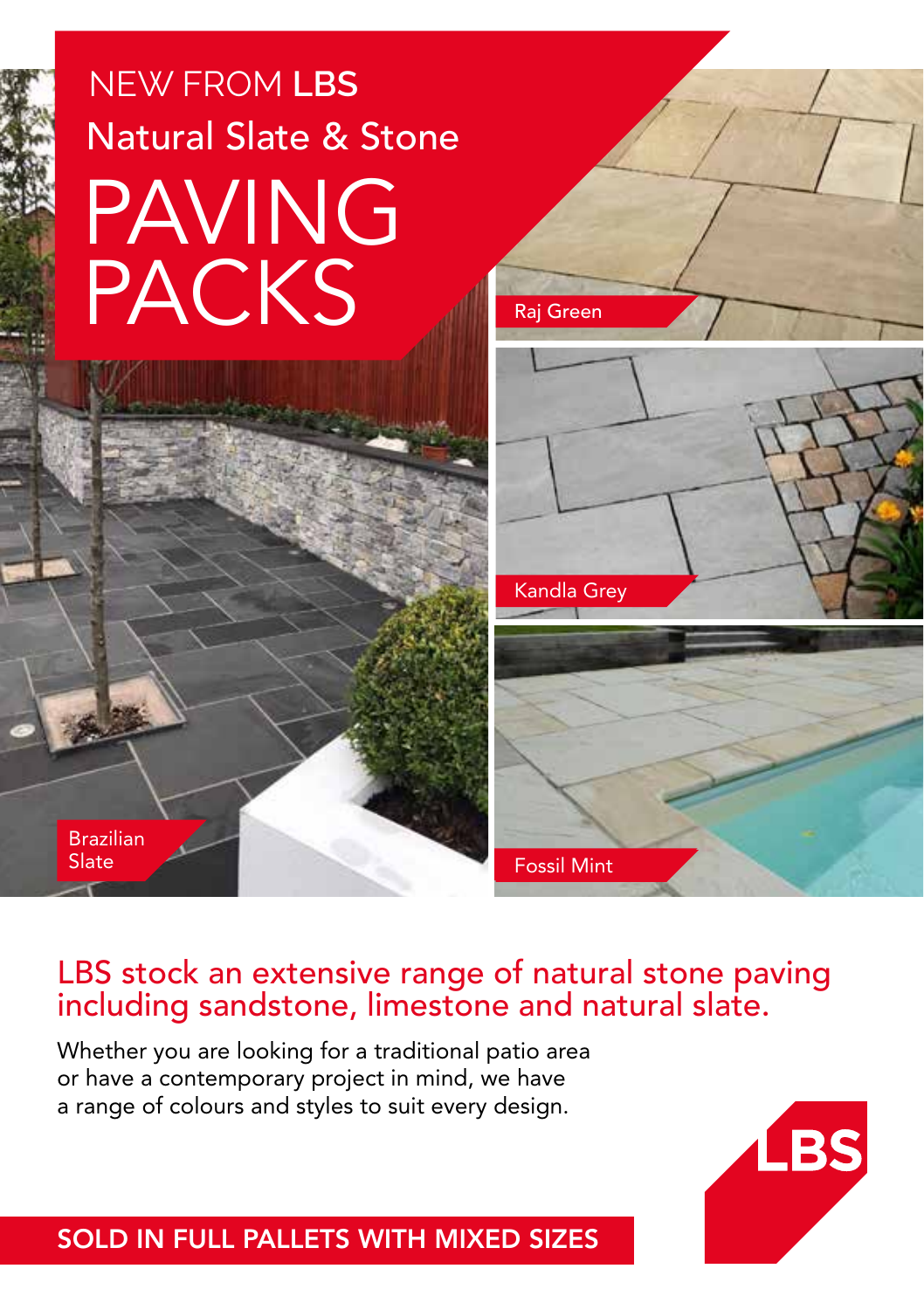# NEW FROM **LBS** Natural Slate & Stone PAVING **PACKS**

Brazilian Slate



## LBS stock an extensive range of natural stone paving including sandstone, limestone and natural slate.

Whether you are looking for a traditional patio area or have a contemporary project in mind, we have a range of colours and styles to suit every design.



SOLD IN FULL PALLETS WITH MIXED SIZES